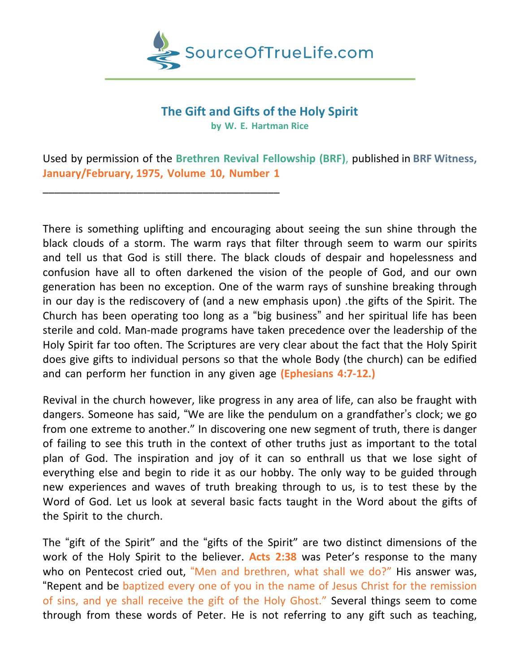

## **The Gift and Gifts of the Holy Spirit**

**by W. E. Hartman Rice**

Used by permission of the **Brethren Revival Fellowship (BRF)**, published in **BRF Witness, January/February, 1975, Volume 10, Number 1**

\_\_\_\_\_\_\_\_\_\_\_\_\_\_\_\_\_\_\_\_\_\_\_\_\_\_\_\_\_\_\_\_\_\_\_\_\_\_\_\_

There is something uplifting and encouraging about seeing the sun shine through the black clouds of a storm. The warm rays that filter through seem to warm our spirits and tell us that God is still there. The black clouds of despair and hopelessness and confusion have all to often darkened the vision of the people of God, and our own generation has been no exception. One of the warm rays of sunshine breaking through in our day is the rediscovery of (and a new emphasis upon) .the gifts of the Spirit. The Church has been operating too long as a "big business" and her spiritual life has been sterile and cold. Man-made programs have taken precedence over the leadership of the Holy Spirit far too often. The Scriptures are very clear about the fact that the Holy Spirit does give gifts to individual persons so that the whole Body (the church) can be edified and can perform her function in any given age **(Ephesians 4:7-12.)**

Revival in the church however, like progress in any area of life, can also be fraught with dangers. Someone has said, "We are like the pendulum on a grandfather's clock; we go from one extreme to another." In discovering one new segment of truth, there is danger of failing to see this truth in the context of other truths just as important to the total plan of God. The inspiration and joy of it can so enthrall us that we lose sight of everything else and begin to ride it as our hobby. The only way to be guided through new experiences and waves of truth breaking through to us, is to test these by the Word of God. Let us look at several basic facts taught in the Word about the gifts of the Spirit to the church.

The "gift of the Spirit" and the "gifts of the Spirit" are two distinct dimensions of the work of the Holy Spirit to the believer. **Acts 2:38** was Peter's response to the many who on Pentecost cried out, "Men and brethren, what shall we do?" His answer was, "Repent and be baptized every one of you in the name of Jesus Christ for the remission of sins, and ye shall receive the gift of the Holy Ghost." Several things seem to come through from these words of Peter. He is not referring to any gift such as teaching,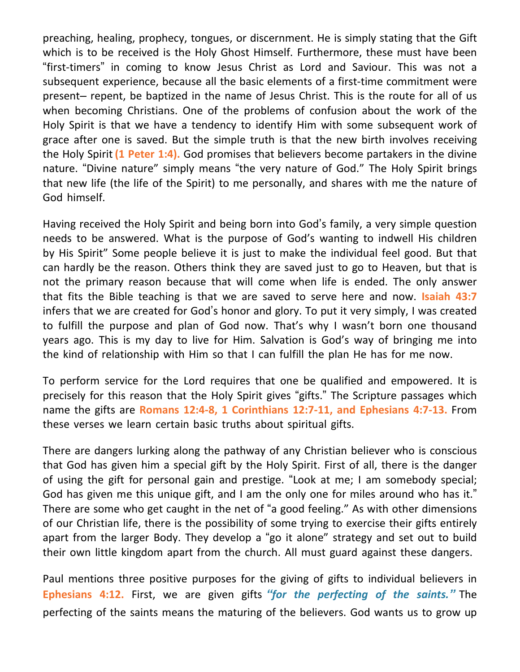preaching, healing, prophecy, tongues, or discernment. He is simply stating that the Gift which is to be received is the Holy Ghost Himself. Furthermore, these must have been "first-timers" in coming to know Jesus Christ as Lord and Saviour. This was not a subsequent experience, because all the basic elements of a first-time commitment were present– repent, be baptized in the name of Jesus Christ. This is the route for all of us when becoming Christians. One of the problems of confusion about the work of the Holy Spirit is that we have a tendency to identify Him with some subsequent work of grace after one is saved. But the simple truth is that the new birth involves receiving the Holy Spirit **(1 Peter 1:4).** God promises that believers become partakers in the divine nature. "Divine nature" simply means "the very nature of God." The Holy Spirit brings that new life (the life of the Spirit) to me personally, and shares with me the nature of God himself.

Having received the Holy Spirit and being born into God's family, a very simple question needs to be answered. What is the purpose of God's wanting to indwell His children by His Spirit" Some people believe it is just to make the individual feel good. But that can hardly be the reason. Others think they are saved just to go to Heaven, but that is not the primary reason because that will come when life is ended. The only answer that fits the Bible teaching is that we are saved to serve here and now. **Isaiah 43:7** infers that we are created for God's honor and glory. To put it very simply, I was created to fulfill the purpose and plan of God now. That's why I wasn't born one thousand years ago. This is my day to live for Him. Salvation is God's way of bringing me into the kind of relationship with Him so that I can fulfill the plan He has for me now.

To perform service for the Lord requires that one be qualified and empowered. It is precisely for this reason that the Holy Spirit gives "gifts." The Scripture passages which name the gifts are **Romans 12:4-8, 1 Corinthians 12:7-11, and Ephesians 4:7-13.** From these verses we learn certain basic truths about spiritual gifts.

There are dangers lurking along the pathway of any Christian believer who is conscious that God has given him a special gift by the Holy Spirit. First of all, there is the danger of using the gift for personal gain and prestige. "Look at me; I am somebody special; God has given me this unique gift, and I am the only one for miles around who has it." There are some who get caught in the net of "a good feeling." As with other dimensions of our Christian life, there is the possibility of some trying to exercise their gifts entirely apart from the larger Body. They develop a "go it alone" strategy and set out to build their own little kingdom apart from the church. All must guard against these dangers.

Paul mentions three positive purposes for the giving of gifts to individual believers in **Ephesians 4:12.** First, we are given gifts *"for the perfecting of the saints."* The perfecting of the saints means the maturing of the believers. God wants us to grow up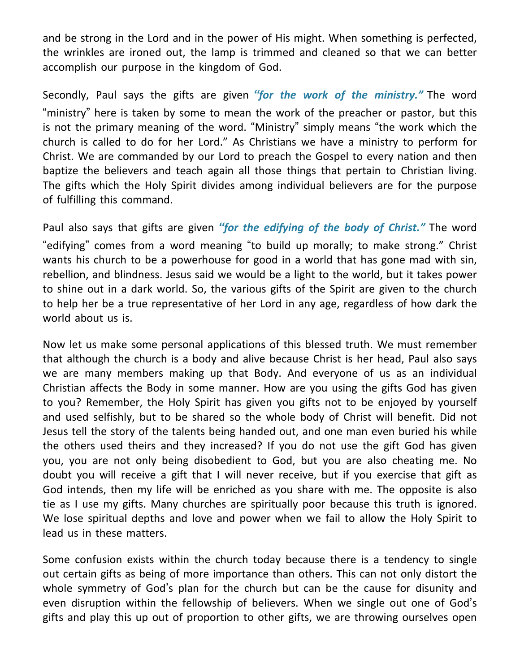and be strong in the Lord and in the power of His might. When something is perfected, the wrinkles are ironed out, the lamp is trimmed and cleaned so that we can better accomplish our purpose in the kingdom of God.

Secondly, Paul says the gifts are given *"for the work of the ministry."* The word "ministry" here is taken by some to mean the work of the preacher or pastor, but this is not the primary meaning of the word. "Ministry" simply means "the work which the church is called to do for her Lord." As Christians we have a ministry to perform for Christ. We are commanded by our Lord to preach the Gospel to every nation and then baptize the believers and teach again all those things that pertain to Christian living. The gifts which the Holy Spirit divides among individual believers are for the purpose of fulfilling this command.

Paul also says that gifts are given *"for the edifying of the body of Christ."* The word "edifying" comes from a word meaning "to build up morally; to make strong." Christ wants his church to be a powerhouse for good in a world that has gone mad with sin, rebellion, and blindness. Jesus said we would be a light to the world, but it takes power to shine out in a dark world. So, the various gifts of the Spirit are given to the church to help her be a true representative of her Lord in any age, regardless of how dark the world about us is.

Now let us make some personal applications of this blessed truth. We must remember that although the church is a body and alive because Christ is her head, Paul also says we are many members making up that Body. And everyone of us as an individual Christian affects the Body in some manner. How are you using the gifts God has given to you? Remember, the Holy Spirit has given you gifts not to be enjoyed by yourself and used selfishly, but to be shared so the whole body of Christ will benefit. Did not Jesus tell the story of the talents being handed out, and one man even buried his while the others used theirs and they increased? If you do not use the gift God has given you, you are not only being disobedient to God, but you are also cheating me. No doubt you will receive a gift that I will never receive, but if you exercise that gift as God intends, then my life will be enriched as you share with me. The opposite is also tie as I use my gifts. Many churches are spiritually poor because this truth is ignored. We lose spiritual depths and love and power when we fail to allow the Holy Spirit to lead us in these matters.

Some confusion exists within the church today because there is a tendency to single out certain gifts as being of more importance than others. This can not only distort the whole symmetry of God's plan for the church but can be the cause for disunity and even disruption within the fellowship of believers. When we single out one of God's gifts and play this up out of proportion to other gifts, we are throwing ourselves open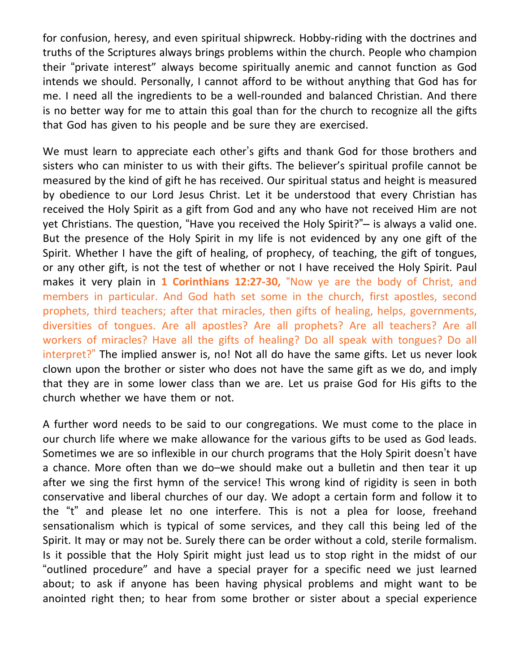for confusion, heresy, and even spiritual shipwreck. Hobby-riding with the doctrines and truths of the Scriptures always brings problems within the church. People who champion their "private interest" always become spiritually anemic and cannot function as God intends we should. Personally, I cannot afford to be without anything that God has for me. I need all the ingredients to be a well-rounded and balanced Christian. And there is no better way for me to attain this goal than for the church to recognize all the gifts that God has given to his people and be sure they are exercised.

We must learn to appreciate each other's gifts and thank God for those brothers and sisters who can minister to us with their gifts. The believer's spiritual profile cannot be measured by the kind of gift he has received. Our spiritual status and height is measured by obedience to our Lord Jesus Christ. Let it be understood that every Christian has received the Holy Spirit as a gift from God and any who have not received Him are not yet Christians. The question, "Have you received the Holy Spirit?"– is always a valid one. But the presence of the Holy Spirit in my life is not evidenced by any one gift of the Spirit. Whether I have the gift of healing, of prophecy, of teaching, the gift of tongues, or any other gift, is not the test of whether or not I have received the Holy Spirit. Paul makes it very plain in **1 Corinthians 12:27-30,** "Now ye are the body of Christ, and members in particular. And God hath set some in the church, first apostles, second prophets, third teachers; after that miracles, then gifts of healing, helps, governments, diversities of tongues. Are all apostles? Are all prophets? Are all teachers? Are all workers of miracles? Have all the gifts of healing? Do all speak with tongues? Do all interpret?" The implied answer is, no! Not all do have the same gifts. Let us never look clown upon the brother or sister who does not have the same gift as we do, and imply that they are in some lower class than we are. Let us praise God for His gifts to the church whether we have them or not.

A further word needs to be said to our congregations. We must come to the place in our church life where we make allowance for the various gifts to be used as God leads. Sometimes we are so inflexible in our church programs that the Holy Spirit doesn't have a chance. More often than we do–we should make out a bulletin and then tear it up after we sing the first hymn of the service! This wrong kind of rigidity is seen in both conservative and liberal churches of our day. We adopt a certain form and follow it to the "t" and please let no one interfere. This is not a plea for loose, freehand sensationalism which is typical of some services, and they call this being led of the Spirit. It may or may not be. Surely there can be order without a cold, sterile formalism. Is it possible that the Holy Spirit might just lead us to stop right in the midst of our "outlined procedure" and have a special prayer for a specific need we just learned about; to ask if anyone has been having physical problems and might want to be anointed right then; to hear from some brother or sister about a special experience